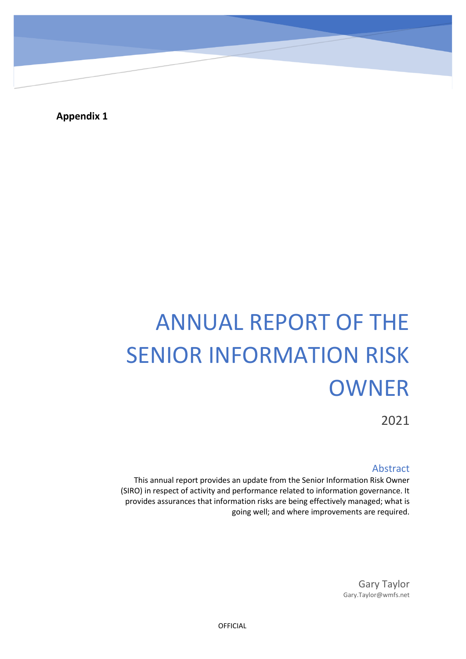**Appendix 1**

 $\overline{\phantom{0}}$ 

# ANNUAL REPORT OF THE SENIOR INFORMATION RISK OWNER

2021

### Abstract

This annual report provides an update from the Senior Information Risk Owner (SIRO) in respect of activity and performance related to information governance. It provides assurances that information risks are being effectively managed; what is going well; and where improvements are required.

> Gary Taylor Gary.Taylor@wmfs.net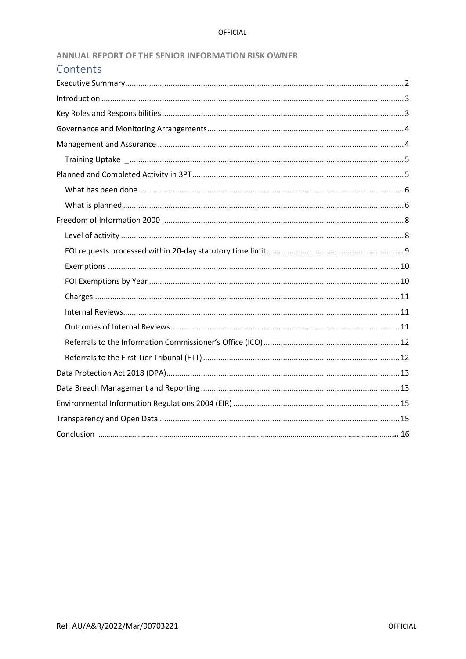| ANNUAL REPORT OF THE SENIOR INFORMATION RISK OWNER |  |
|----------------------------------------------------|--|
|----------------------------------------------------|--|

| Contents |  |
|----------|--|
|          |  |
|          |  |
|          |  |
|          |  |
|          |  |
|          |  |
|          |  |
|          |  |
|          |  |
|          |  |
|          |  |
|          |  |
|          |  |
|          |  |
|          |  |
|          |  |
|          |  |
|          |  |
|          |  |
|          |  |
|          |  |
|          |  |
|          |  |
|          |  |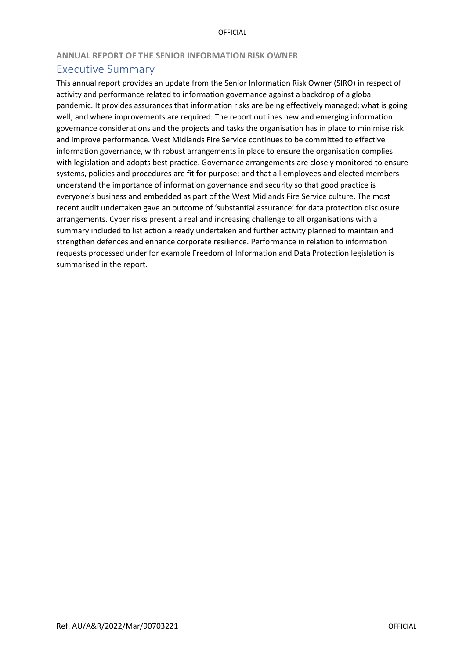### **ANNUAL REPORT OF THE SENIOR INFORMATION RISK OWNER**

## <span id="page-2-0"></span>Executive Summary

This annual report provides an update from the Senior Information Risk Owner (SIRO) in respect of activity and performance related to information governance against a backdrop of a global pandemic. It provides assurances that information risks are being effectively managed; what is going well; and where improvements are required. The report outlines new and emerging information governance considerations and the projects and tasks the organisation has in place to minimise risk and improve performance. West Midlands Fire Service continues to be committed to effective information governance, with robust arrangements in place to ensure the organisation complies with legislation and adopts best practice. Governance arrangements are closely monitored to ensure systems, policies and procedures are fit for purpose; and that all employees and elected members understand the importance of information governance and security so that good practice is everyone's business and embedded as part of the West Midlands Fire Service culture. The most recent audit undertaken gave an outcome of 'substantial assurance' for data protection disclosure arrangements. Cyber risks present a real and increasing challenge to all organisations with a summary included to list action already undertaken and further activity planned to maintain and strengthen defences and enhance corporate resilience. Performance in relation to information requests processed under for example Freedom of Information and Data Protection legislation is summarised in the report.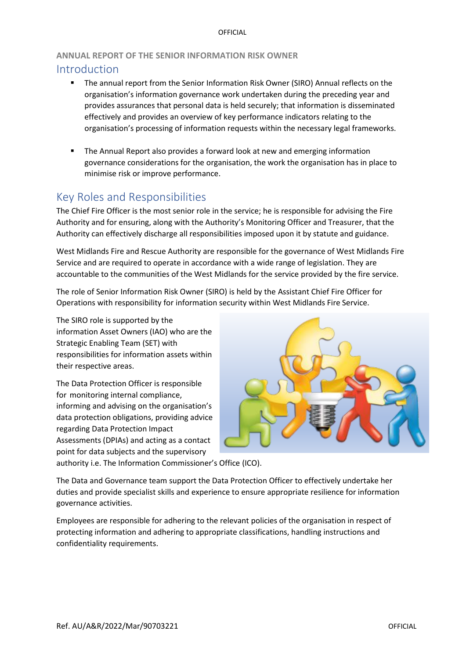### **ANNUAL REPORT OF THE SENIOR INFORMATION RISK OWNER**

### <span id="page-3-0"></span>Introduction

- The annual report from the Senior Information Risk Owner (SIRO) Annual reflects on the organisation's information governance work undertaken during the preceding year and provides assurances that personal data is held securely; that information is disseminated effectively and provides an overview of key performance indicators relating to the organisation's processing of information requests within the necessary legal frameworks.
- The Annual Report also provides a forward look at new and emerging information governance considerations for the organisation, the work the organisation has in place to minimise risk or improve performance.

# <span id="page-3-1"></span>Key Roles and Responsibilities

The Chief Fire Officer is the most senior role in the service; he is responsible for advising the Fire Authority and for ensuring, along with the Authority's Monitoring Officer and Treasurer, that the Authority can effectively discharge all responsibilities imposed upon it by statute and guidance.

West Midlands Fire and Rescue Authority are responsible for the governance of West Midlands Fire Service and are required to operate in accordance with a wide range of legislation. They are accountable to the communities of the West Midlands for the service provided by the fire service.

The role of Senior Information Risk Owner (SIRO) is held by the Assistant Chief Fire Officer for Operations with responsibility for information security within West Midlands Fire Service.

The SIRO role is supported by the information Asset Owners (IAO) who are the Strategic Enabling Team (SET) with responsibilities for information assets within their respective areas.

The Data Protection Officer is responsible for monitoring internal compliance, informing and advising on the organisation's data protection obligations, providing advice regarding Data Protection Impact Assessments (DPIAs) and acting as a contact point for data subjects and the supervisory



authority i.e. The Information Commissioner's Office (ICO).

The Data and Governance team support the Data Protection Officer to effectively undertake her duties and provide specialist skills and experience to ensure appropriate resilience for information governance activities.

Employees are responsible for adhering to the relevant policies of the organisation in respect of protecting information and adhering to appropriate classifications, handling instructions and confidentiality requirements.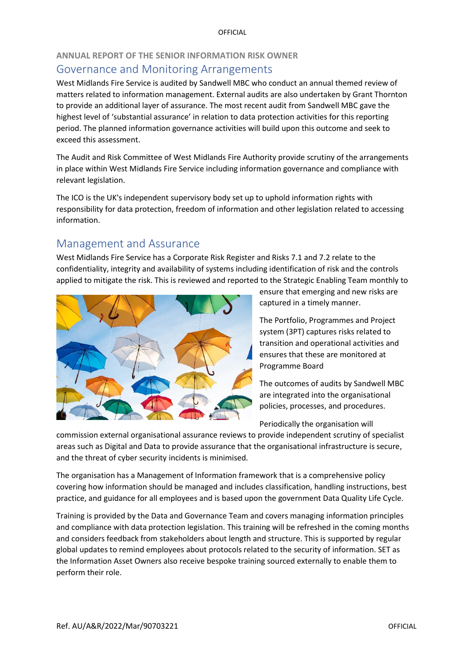### **ANNUAL REPORT OF THE SENIOR INFORMATION RISK OWNER**

# <span id="page-4-0"></span>Governance and Monitoring Arrangements

West Midlands Fire Service is audited by Sandwell MBC who conduct an annual themed review of matters related to information management. External audits are also undertaken by Grant Thornton to provide an additional layer of assurance. The most recent audit from Sandwell MBC gave the highest level of 'substantial assurance' in relation to data protection activities for this reporting period. The planned information governance activities will build upon this outcome and seek to exceed this assessment.

The Audit and Risk Committee of West Midlands Fire Authority provide scrutiny of the arrangements in place within West Midlands Fire Service including information governance and compliance with relevant legislation.

The ICO is the UK's independent supervisory body set up to uphold information rights with responsibility for data protection, freedom of information and other legislation related to accessing information.

# <span id="page-4-1"></span>Management and Assurance

West Midlands Fire Service has a Corporate Risk Register and Risks 7.1 and 7.2 relate to the confidentiality, integrity and availability of systems including identification of risk and the controls applied to mitigate the risk. This is reviewed and reported to the Strategic Enabling Team monthly to



ensure that emerging and new risks are captured in a timely manner.

The Portfolio, Programmes and Project system (3PT) captures risks related to transition and operational activities and ensures that these are monitored at Programme Board

The outcomes of audits by Sandwell MBC are integrated into the organisational policies, processes, and procedures.

Periodically the organisation will

commission external organisational assurance reviews to provide independent scrutiny of specialist areas such as Digital and Data to provide assurance that the organisational infrastructure is secure, and the threat of cyber security incidents is minimised.

The organisation has a Management of Information framework that is a comprehensive policy covering how information should be managed and includes classification, handling instructions, best practice, and guidance for all employees and is based upon the government Data Quality Life Cycle.

Training is provided by the Data and Governance Team and covers managing information principles and compliance with data protection legislation. This training will be refreshed in the coming months and considers feedback from stakeholders about length and structure. This is supported by regular global updates to remind employees about protocols related to the security of information. SET as the Information Asset Owners also receive bespoke training sourced externally to enable them to perform their role.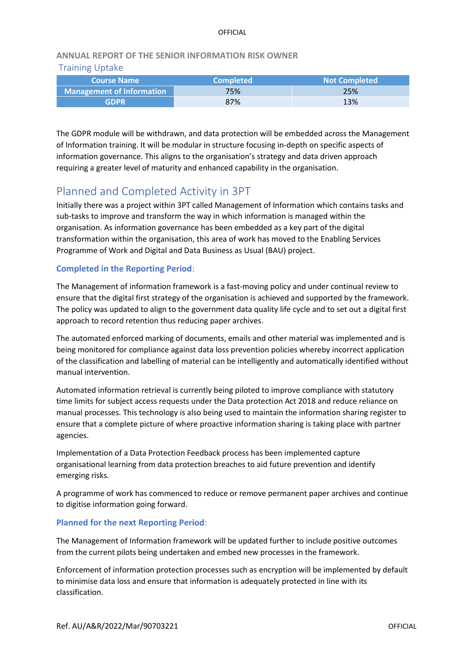# **ANNUAL REPORT OF THE SENIOR INFORMATION RISK OWNER**

### <span id="page-5-0"></span>Training Uptake

| <b>Course Name</b>               | <b>Completed</b> | <b>Not Completed</b> |  |
|----------------------------------|------------------|----------------------|--|
| <b>Management of Information</b> | 75%              | 25%                  |  |
| <b>GDPR</b>                      | 87%              | 13%                  |  |

<span id="page-5-1"></span>The GDPR module will be withdrawn, and data protection will be embedded across the Management of Information training. It will be modular in structure focusing in-depth on specific aspects of information governance. This aligns to the organisation's strategy and data driven approach requiring a greater level of maturity and enhanced capability in the organisation.

# Planned and Completed Activity in 3PT

Initially there was a project within 3PT called Management of Information which contains tasks and sub-tasks to improve and transform the way in which information is managed within the organisation. As information governance has been embedded as a key part of the digital transformation within the organisation, this area of work has moved to the Enabling Services Programme of Work and Digital and Data Business as Usual (BAU) project.

### **Completed in the Reporting Period**:

The Management of information framework is a fast-moving policy and under continual review to ensure that the digital first strategy of the organisation is achieved and supported by the framework. The policy was updated to align to the government data quality life cycle and to set out a digital first approach to record retention thus reducing paper archives.

The automated enforced marking of documents, emails and other material was implemented and is being monitored for compliance against data loss prevention policies whereby incorrect application of the classification and labelling of material can be intelligently and automatically identified without manual intervention.

Automated information retrieval is currently being piloted to improve compliance with statutory time limits for subject access requests under the Data protection Act 2018 and reduce reliance on manual processes. This technology is also being used to maintain the information sharing register to ensure that a complete picture of where proactive information sharing is taking place with partner agencies.

Implementation of a Data Protection Feedback process has been implemented capture organisational learning from data protection breaches to aid future prevention and identify emerging risks.

A programme of work has commenced to reduce or remove permanent paper archives and continue to digitise information going forward.

### **Planned for the next Reporting Period**:

The Management of Information framework will be updated further to include positive outcomes from the current pilots being undertaken and embed new processes in the framework.

Enforcement of information protection processes such as encryption will be implemented by default to minimise data loss and ensure that information is adequately protected in line with its classification.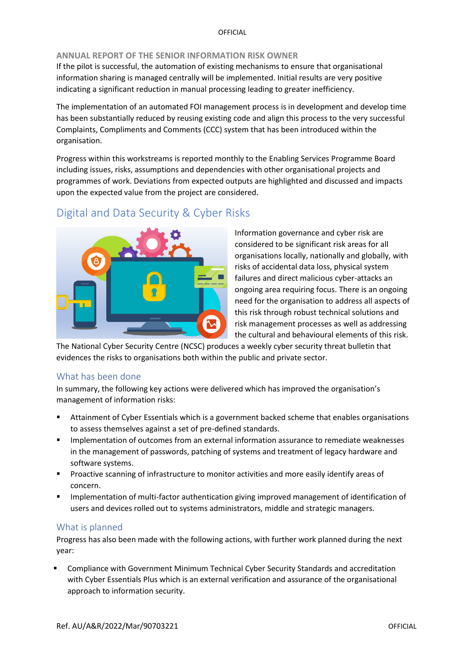### **ANNUAL REPORT OF THE SENIOR INFORMATION RISK OWNER**

If the pilot is successful, the automation of existing mechanisms to ensure that organisational information sharing is managed centrally will be implemented. Initial results are very positive indicating a significant reduction in manual processing leading to greater inefficiency.

The implementation of an automated FOI management process is in development and develop time has been substantially reduced by reusing existing code and align this process to the very successful Complaints, Compliments and Comments (CCC) system that has been introduced within the organisation.

Progress within this workstreams is reported monthly to the Enabling Services Programme Board including issues, risks, assumptions and dependencies with other organisational projects and programmes of work. Deviations from expected outputs are highlighted and discussed and impacts upon the expected value from the project are considered.

# Digital and Data Security & Cyber Risks



Information governance and cyber risk are considered to be significant risk areas for all organisations locally, nationally and globally, with risks of accidental data loss, physical system failures and direct malicious cyber-attacks an ongoing area requiring focus. There is an ongoing need for the organisation to address all aspects of this risk through robust technical solutions and risk management processes as well as addressing the cultural and behavioural elements of this risk.

The National Cyber Security Centre (NCSC) produces a weekly cyber security threat bulletin that evidences the risks to organisations both within the public and private sector.

### <span id="page-6-0"></span>What has been done

In summary, the following key actions were delivered which has improved the organisation's management of information risks:

- Attainment of Cyber Essentials which is a government backed scheme that enables organisations to assess themselves against a set of pre-defined standards.
- Implementation of outcomes from an external information assurance to remediate weaknesses in the management of passwords, patching of systems and treatment of legacy hardware and software systems.
- **•** Proactive scanning of infrastructure to monitor activities and more easily identify areas of concern.
- **■** Implementation of multi-factor authentication giving improved management of identification of users and devices rolled out to systems administrators, middle and strategic managers.

### <span id="page-6-1"></span>What is planned

Progress has also been made with the following actions, with further work planned during the next year:

Compliance with Government Minimum Technical Cyber Security Standards and accreditation with Cyber Essentials Plus which is an external verification and assurance of the organisational approach to information security.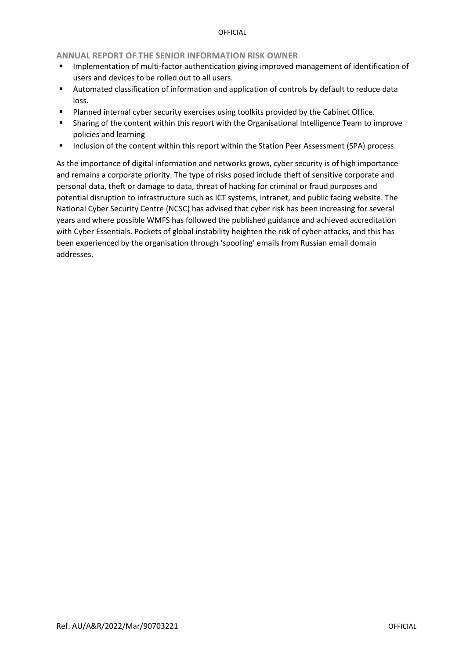### **ANNUAL REPORT OF THE SENIOR INFORMATION RISK OWNER**

- **■** Implementation of multi-factor authentication giving improved management of identification of users and devices to be rolled out to all users.
- Automated classification of information and application of controls by default to reduce data loss.
- Planned internal cyber security exercises using toolkits provided by the Cabinet Office.
- Sharing of the content within this report with the Organisational Intelligence Team to improve policies and learning
- Inclusion of the content within this report within the Station Peer Assessment (SPA) process.

As the importance of digital information and networks grows, cyber security is of high importance and remains a corporate priority. The type of risks posed include theft of sensitive corporate and personal data, theft or damage to data, threat of hacking for criminal or fraud purposes and potential disruption to infrastructure such as ICT systems, intranet, and public facing website. The National Cyber Security Centre (NCSC) has advised that cyber risk has been increasing for several years and where possible WMFS has followed the published guidance and achieved accreditation with Cyber Essentials. Pockets of global instability heighten the risk of cyber-attacks, and this has been experienced by the organisation through 'spoofing' emails from Russian email domain addresses.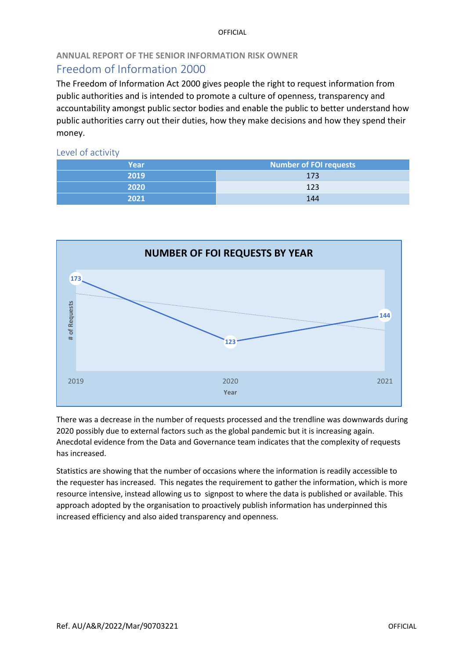# **ANNUAL REPORT OF THE SENIOR INFORMATION RISK OWNER**

# <span id="page-8-0"></span>Freedom of Information 2000

The Freedom of Information Act 2000 gives people the right to request information from public authorities and is intended to promote a culture of openness, transparency and accountability amongst public sector bodies and enable the public to better understand how public authorities carry out their duties, how they make decisions and how they spend their money.

<span id="page-8-1"></span>Level of activity

| Year | <b>Number of FOI requests</b> |  |
|------|-------------------------------|--|
| 2019 | 173                           |  |
| 2020 | 123                           |  |
| 2021 | 144                           |  |



There was a decrease in the number of requests processed and the trendline was downwards during 2020 possibly due to external factors such as the global pandemic but it is increasing again. Anecdotal evidence from the Data and Governance team indicates that the complexity of requests has increased.

Statistics are showing that the number of occasions where the information is readily accessible to the requester has increased. This negates the requirement to gather the information, which is more resource intensive, instead allowing us to signpost to where the data is published or available. This approach adopted by the organisation to proactively publish information has underpinned this increased efficiency and also aided transparency and openness.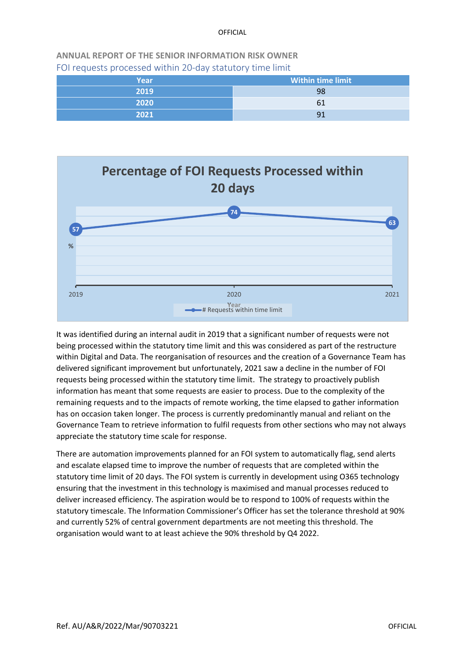<span id="page-9-0"></span>**ANNUAL REPORT OF THE SENIOR INFORMATION RISK OWNER**  FOI requests processed within 20-day statutory time limit

| Year | <b>Within time limit</b> |
|------|--------------------------|
| 2019 | 98                       |
| 2020 | 61                       |
| 2021 | 91                       |



It was identified during an internal audit in 2019 that a significant number of requests were not being processed within the statutory time limit and this was considered as part of the restructure within Digital and Data. The reorganisation of resources and the creation of a Governance Team has delivered significant improvement but unfortunately, 2021 saw a decline in the number of FOI requests being processed within the statutory time limit. The strategy to proactively publish information has meant that some requests are easier to process. Due to the complexity of the remaining requests and to the impacts of remote working, the time elapsed to gather information has on occasion taken longer. The process is currently predominantly manual and reliant on the Governance Team to retrieve information to fulfil requests from other sections who may not always appreciate the statutory time scale for response.

There are automation improvements planned for an FOI system to automatically flag, send alerts and escalate elapsed time to improve the number of requests that are completed within the statutory time limit of 20 days. The FOI system is currently in development using O365 technology ensuring that the investment in this technology is maximised and manual processes reduced to deliver increased efficiency. The aspiration would be to respond to 100% of requests within the statutory timescale. The Information Commissioner's Officer has set the tolerance threshold at 90% and currently 52% of central government departments are not meeting this threshold. The organisation would want to at least achieve the 90% threshold by Q4 2022.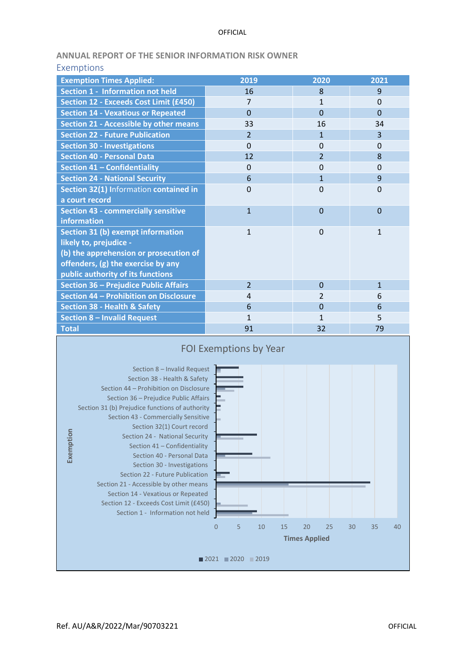### **ANNUAL REPORT OF THE SENIOR INFORMATION RISK OWNER**

<span id="page-10-0"></span>

| <b>Exemptions</b>                             |                |                |                |
|-----------------------------------------------|----------------|----------------|----------------|
| <b>Exemption Times Applied:</b>               | 2019           | 2020           | 2021           |
| <b>Section 1 - Information not held</b>       | 16             | 8              | 9              |
| <b>Section 12 - Exceeds Cost Limit (£450)</b> | 7              | $\mathbf{1}$   | $\Omega$       |
| <b>Section 14 - Vexatious or Repeated</b>     | $\Omega$       | $\overline{0}$ | $\overline{0}$ |
| Section 21 - Accessible by other means        | 33             | 16             | 34             |
| <b>Section 22 - Future Publication</b>        | $\overline{2}$ | $\mathbf{1}$   | 3              |
| <b>Section 30 - Investigations</b>            | $\Omega$       | 0              | $\Omega$       |
| <b>Section 40 - Personal Data</b>             | 12             | $\overline{2}$ | 8              |
| Section 41 - Confidentiality                  | $\Omega$       | $\overline{0}$ | $\Omega$       |
| <b>Section 24 - National Security</b>         | 6              | $\overline{1}$ | 9              |
| Section 32(1) Information contained in        | $\Omega$       | $\Omega$       | $\overline{0}$ |
| a court record                                |                |                |                |
| <b>Section 43 - commercially sensitive</b>    | $\mathbf{1}$   | $\overline{0}$ | $\overline{0}$ |
| information                                   |                |                |                |
| <b>Section 31 (b) exempt information</b>      | $\mathbf{1}$   | $\Omega$       | $\mathbf{1}$   |
| likely to, prejudice -                        |                |                |                |
| (b) the apprehension or prosecution of        |                |                |                |
| offenders, (g) the exercise by any            |                |                |                |
| public authority of its functions             |                |                |                |
| Section 36 - Prejudice Public Affairs         | $\overline{2}$ | $\Omega$       | $\mathbf{1}$   |
| Section 44 - Prohibition on Disclosure        | $\overline{4}$ | 2              | 6              |
| <b>Section 38 - Health &amp; Safety</b>       | 6              | $\overline{0}$ | 6              |
| <b>Section 8 - Invalid Request</b>            | $\mathbf{1}$   | 1              | 5              |
| <b>Total</b>                                  | 91             | 32             | 79             |

<span id="page-10-1"></span>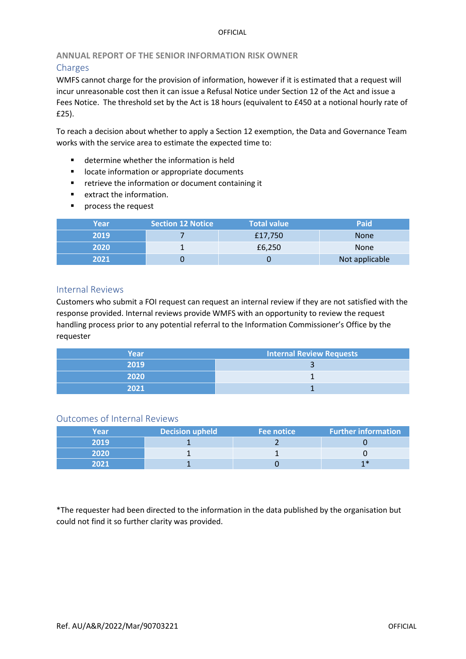### <span id="page-11-0"></span>**ANNUAL REPORT OF THE SENIOR INFORMATION RISK OWNER**  Charges

WMFS cannot charge for the provision of information, however if it is estimated that a request will incur unreasonable cost then it can issue a Refusal Notice under Section 12 of the Act and issue a Fees Notice. The threshold set by the Act is 18 hours (equivalent to £450 at a notional hourly rate of £25).

To reach a decision about whether to apply a Section 12 exemption, the Data and Governance Team works with the service area to estimate the expected time to:

- determine whether the information is held
- locate information or appropriate documents
- retrieve the information or document containing it
- extract the information.
- process the request

| Year | <b>Section 12 Notice</b> | <b>Total value</b> | Paid           |
|------|--------------------------|--------------------|----------------|
| 2019 |                          | £17,750            | <b>None</b>    |
| 2020 |                          | £6,250             | <b>None</b>    |
| 2021 |                          |                    | Not applicable |

### <span id="page-11-1"></span>Internal Reviews

Customers who submit a FOI request can request an internal review if they are not satisfied with the response provided. Internal reviews provide WMFS with an opportunity to review the request handling process prior to any potential referral to the Information Commissioner's Office by the requester

| Year | Internal Review Requests |
|------|--------------------------|
| 2019 |                          |
| 2020 |                          |
| 2021 |                          |

### <span id="page-11-2"></span>Outcomes of Internal Reviews

| Year | <b>Decision upheld</b> | Fee notice | <b>Further information</b> |
|------|------------------------|------------|----------------------------|
| 2019 |                        |            |                            |
| 2020 |                        |            |                            |
| יכחי |                        |            | 1 *                        |

\*The requester had been directed to the information in the data published by the organisation but could not find it so further clarity was provided.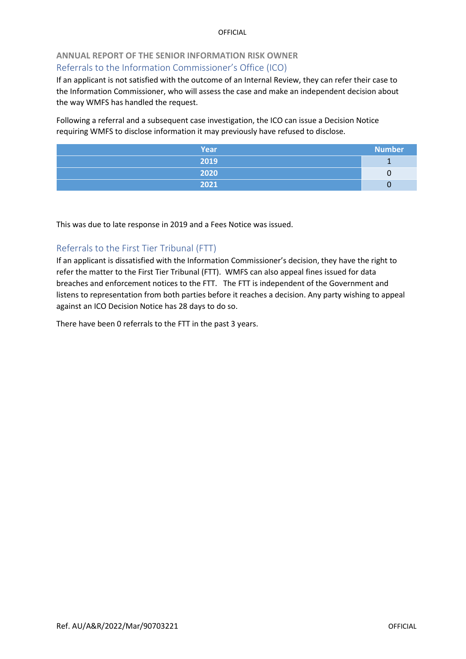# <span id="page-12-0"></span>**ANNUAL REPORT OF THE SENIOR INFORMATION RISK OWNER**  Referrals to the Information Commissioner's Office (ICO)

If an applicant is not satisfied with the outcome of an Internal Review, they can refer their case to the Information Commissioner, who will assess the case and make an independent decision about the way WMFS has handled the request.

Following a referral and a subsequent case investigation, the ICO can issue a Decision Notice requiring WMFS to disclose information it may previously have refused to disclose.

| <b>Year</b> | <b>Number</b> |
|-------------|---------------|
| 2019        |               |
| 2020        |               |
| 2021        |               |

This was due to late response in 2019 and a Fees Notice was issued.

### <span id="page-12-1"></span>Referrals to the First Tier Tribunal (FTT)

If an applicant is dissatisfied with the Information Commissioner's decision, they have the right to refer the matter to the First Tier Tribunal (FTT). WMFS can also appeal fines issued for data breaches and enforcement notices to the FTT. The FTT is independent of the Government and listens to representation from both parties before it reaches a decision. Any party wishing to appeal against an ICO Decision Notice has 28 days to do so.

There have been 0 referrals to the FTT in the past 3 years.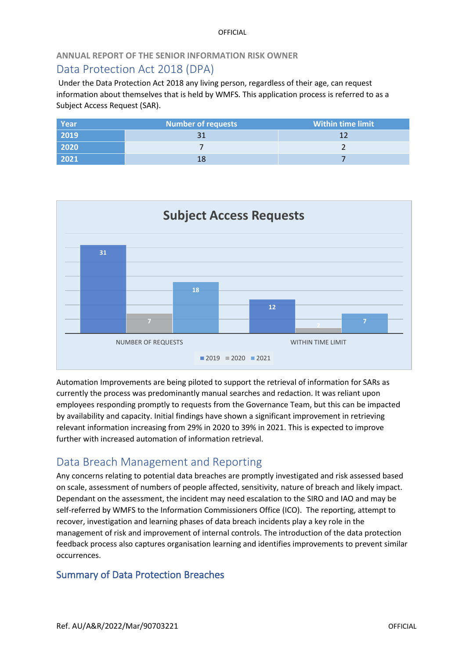### **ANNUAL REPORT OF THE SENIOR INFORMATION RISK OWNER**

# <span id="page-13-0"></span>Data Protection Act 2018 (DPA)

Under the Data Protection Act 2018 any living person, regardless of their age, can request information about themselves that is held by WMFS. This application process is referred to as a Subject Access Request (SAR).

| Year | <b>Number of requests</b> | Within time limit |
|------|---------------------------|-------------------|
| 2019 |                           |                   |
| 2020 |                           |                   |
| 2021 |                           |                   |



Automation Improvements are being piloted to support the retrieval of information for SARs as currently the process was predominantly manual searches and redaction. It was reliant upon employees responding promptly to requests from the Governance Team, but this can be impacted by availability and capacity. Initial findings have shown a significant improvement in retrieving relevant information increasing from 29% in 2020 to 39% in 2021. This is expected to improve further with increased automation of information retrieval.

# <span id="page-13-1"></span>Data Breach Management and Reporting

Any concerns relating to potential data breaches are promptly investigated and risk assessed based on scale, assessment of numbers of people affected, sensitivity, nature of breach and likely impact. Dependant on the assessment, the incident may need escalation to the SIRO and IAO and may be self-referred by WMFS to the Information Commissioners Office (ICO). The reporting, attempt to recover, investigation and learning phases of data breach incidents play a key role in the management of risk and improvement of internal controls. The introduction of the data protection feedback process also captures organisation learning and identifies improvements to prevent similar occurrences.

# Summary of Data Protection Breaches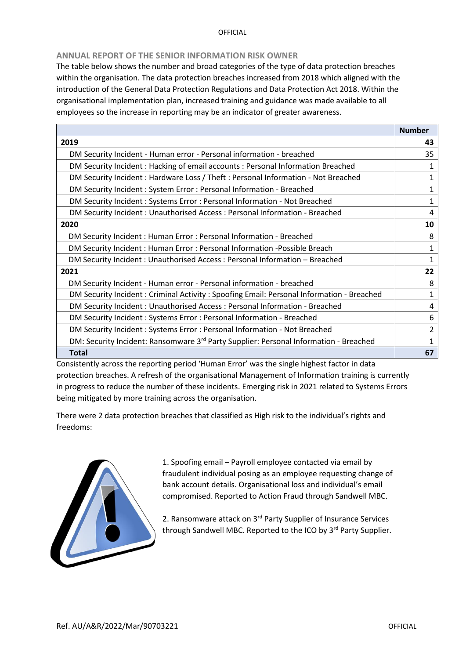### **ANNUAL REPORT OF THE SENIOR INFORMATION RISK OWNER**

The table below shows the number and broad categories of the type of data protection breaches within the organisation. The data protection breaches increased from 2018 which aligned with the introduction of the General Data Protection Regulations and Data Protection Act 2018. Within the organisational implementation plan, increased training and guidance was made available to all employees so the increase in reporting may be an indicator of greater awareness.

|                                                                                                   | <b>Number</b> |
|---------------------------------------------------------------------------------------------------|---------------|
| 2019                                                                                              | 43            |
| DM Security Incident - Human error - Personal information - breached                              | 35            |
| DM Security Incident: Hacking of email accounts: Personal Information Breached                    | $\mathbf{1}$  |
| DM Security Incident: Hardware Loss / Theft: Personal Information - Not Breached                  | $\mathbf{1}$  |
| DM Security Incident : System Error : Personal Information - Breached                             | 1             |
| DM Security Incident: Systems Error: Personal Information - Not Breached                          | 1             |
| DM Security Incident: Unauthorised Access: Personal Information - Breached                        | 4             |
| 2020                                                                                              | 10            |
| DM Security Incident: Human Error: Personal Information - Breached                                | 8             |
| DM Security Incident: Human Error: Personal Information - Possible Breach                         | 1             |
| DM Security Incident: Unauthorised Access: Personal Information - Breached                        | $\mathbf{1}$  |
| 2021                                                                                              | 22            |
| DM Security Incident - Human error - Personal information - breached                              | 8             |
| DM Security Incident: Criminal Activity: Spoofing Email: Personal Information - Breached          | $\mathbf{1}$  |
| DM Security Incident: Unauthorised Access: Personal Information - Breached                        | 4             |
| DM Security Incident: Systems Error: Personal Information - Breached                              | 6             |
| DM Security Incident: Systems Error: Personal Information - Not Breached                          | 2             |
| DM: Security Incident: Ransomware 3 <sup>rd</sup> Party Supplier: Personal Information - Breached | 1             |
| <b>Total</b>                                                                                      | 67            |

Consistently across the reporting period 'Human Error' was the single highest factor in data protection breaches. A refresh of the organisational Management of Information training is currently in progress to reduce the number of these incidents. Emerging risk in 2021 related to Systems Errors being mitigated by more training across the organisation.

There were 2 data protection breaches that classified as High risk to the individual's rights and freedoms:



1. Spoofing email – Payroll employee contacted via email by fraudulent individual posing as an employee requesting change of bank account details. Organisational loss and individual's email compromised. Reported to Action Fraud through Sandwell MBC.

2. Ransomware attack on 3<sup>rd</sup> Party Supplier of Insurance Services through Sandwell MBC. Reported to the ICO by 3<sup>rd</sup> Party Supplier.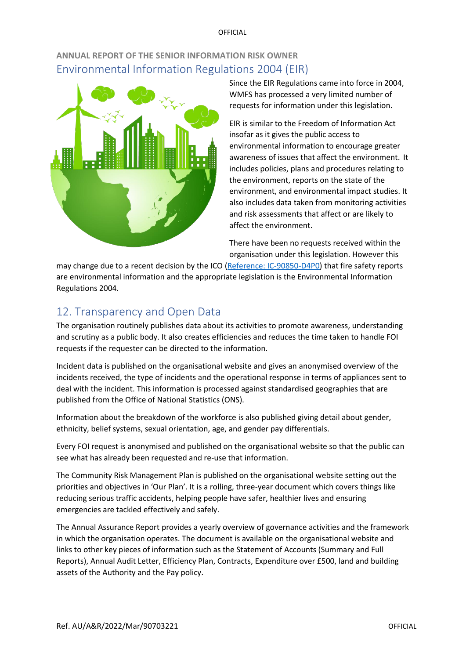# <span id="page-15-0"></span>**ANNUAL REPORT OF THE SENIOR INFORMATION RISK OWNER**  Environmental Information Regulations 2004 (EIR)



Since the EIR Regulations came into force in 2004, WMFS has processed a very limited number of requests for information under this legislation.

EIR is similar to the Freedom of Information Act insofar as it gives the public access to environmental information to encourage greater awareness of issues that affect the environment. It includes policies, plans and procedures relating to the environment, reports on the state of the environment, and environmental impact studies. It also includes data taken from monitoring activities and risk assessments that affect or are likely to affect the environment.

There have been no requests received within the organisation under this legislation. However this

may change due to a recent decision by the ICO [\(Reference: IC-90850-D4P0\)](https://ico.org.uk/media/action-weve-taken/decision-notices/2021/2620378/ic-90850-d4p0.pdf) that fire safety reports are environmental information and the appropriate legislation is the Environmental Information Regulations 2004.

# <span id="page-15-1"></span>12. Transparency and Open Data

The organisation routinely publishes data about its activities to promote awareness, understanding and scrutiny as a public body. It also creates efficiencies and reduces the time taken to handle FOI requests if the requester can be directed to the information.

Incident data is published on the organisational website and gives an anonymised overview of the incidents received, the type of incidents and the operational response in terms of appliances sent to deal with the incident. This information is processed against standardised geographies that are published from the Office of National Statistics (ONS).

Information about the breakdown of the workforce is also published giving detail about gender, ethnicity, belief systems, sexual orientation, age, and gender pay differentials.

Every FOI request is anonymised and published on the organisational website so that the public can see what has already been requested and re-use that information.

The Community Risk Management Plan is published on the organisational website setting out the priorities and objectives in 'Our Plan'. It is a rolling, three-year document which covers things like reducing serious traffic accidents, helping people have safer, healthier lives and ensuring emergencies are tackled effectively and safely.

The Annual Assurance Report provides a yearly overview of governance activities and the framework in which the organisation operates. The document is available on the organisational website and links to other key pieces of information such as the Statement of Accounts (Summary and Full Reports), Annual Audit Letter, Efficiency Plan, Contracts, Expenditure over £500, land and building assets of the Authority and the Pay policy.